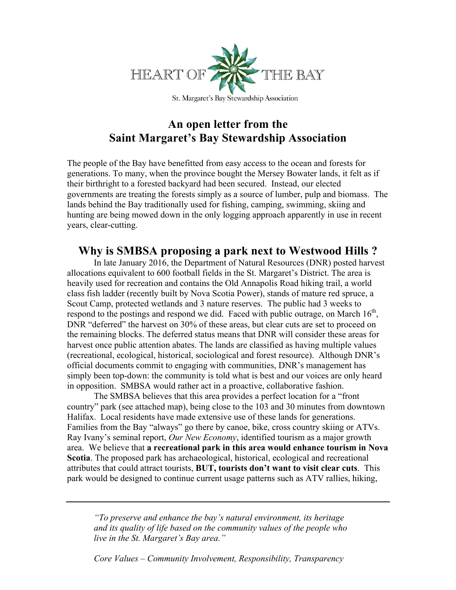

## **An open letter from the Saint Margaret's Bay Stewardship Association**

The people of the Bay have benefitted from easy access to the ocean and forests for generations. To many, when the province bought the Mersey Bowater lands, it felt as if their birthright to a forested backyard had been secured. Instead, our elected governments are treating the forests simply as a source of lumber, pulp and biomass. The lands behind the Bay traditionally used for fishing, camping, swimming, skiing and hunting are being mowed down in the only logging approach apparently in use in recent years, clear-cutting.

## **Why is SMBSA proposing a park next to Westwood Hills ?**

In late January 2016, the Department of Natural Resources (DNR) posted harvest allocations equivalent to 600 football fields in the St. Margaret's District. The area is heavily used for recreation and contains the Old Annapolis Road hiking trail, a world class fish ladder (recently built by Nova Scotia Power), stands of mature red spruce, a Scout Camp, protected wetlands and 3 nature reserves. The public had 3 weeks to respond to the postings and respond we did. Faced with public outrage, on March 16<sup>th</sup>, DNR "deferred" the harvest on 30% of these areas, but clear cuts are set to proceed on the remaining blocks. The deferred status means that DNR will consider these areas for harvest once public attention abates. The lands are classified as having multiple values (recreational, ecological, historical, sociological and forest resource). Although DNR's official documents commit to engaging with communities, DNR's management has simply been top-down: the community is told what is best and our voices are only heard in opposition. SMBSA would rather act in a proactive, collaborative fashion.

The SMBSA believes that this area provides a perfect location for a "front country" park (see attached map), being close to the 103 and 30 minutes from downtown Halifax. Local residents have made extensive use of these lands for generations. Families from the Bay "always" go there by canoe, bike, cross country skiing or ATVs. Ray Ivany's seminal report, *Our New Economy*, identified tourism as a major growth area. We believe that **a recreational park in this area would enhance tourism in Nova Scotia**. The proposed park has archaeological, historical, ecological and recreational attributes that could attract tourists, **BUT, tourists don't want to visit clear cuts**. This park would be designed to continue current usage patterns such as ATV rallies, hiking,

*"To preserve and enhance the bay's natural environment, its heritage and its quality of life based on the community values of the people who live in the St. Margaret's Bay area."*

*Core Values – Community Involvement, Responsibility, Transparency*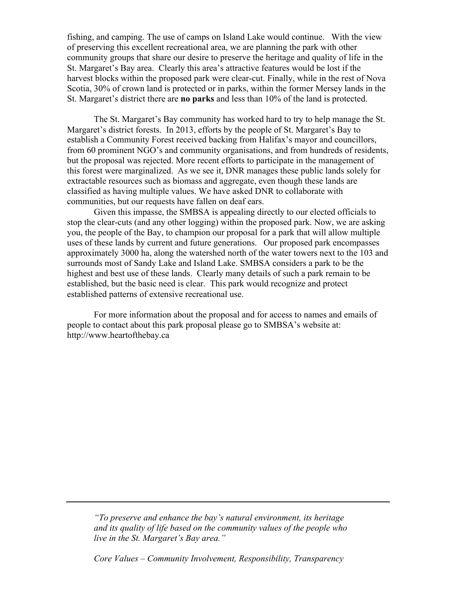fishing, and camping. The use of camps on Island Lake would continue. With the view of preserving this excellent recreational area, we are planning the park with other community groups that share our desire to preserve the heritage and quality of life in the St. Margaret's Bay area. Clearly this area's attractive features would be lost if the harvest blocks within the proposed park were clear-cut. Finally, while in the rest of Nova Scotia, 30% of crown land is protected or in parks, within the former Mersey lands in the St. Margaret's district there are **no parks** and less than 10% of the land is protected.

The St. Margaret's Bay community has worked hard to try to help manage the St. Margaret's district forests. In 2013, efforts by the people of St. Margaret's Bay to establish a Community Forest received backing from Halifax's mayor and councillors, from 60 prominent NGO's and community organisations, and from hundreds of residents, but the proposal was rejected. More recent efforts to participate in the management of this forest were marginalized. As we see it, DNR manages these public lands solely for extractable resources such as biomass and aggregate, even though these lands are classified as having multiple values. We have asked DNR to collaborate with communities, but our requests have fallen on deaf ears.

Given this impasse, the SMBSA is appealing directly to our elected officials to stop the clear-cuts (and any other logging) within the proposed park. Now, we are asking you, the people of the Bay, to champion our proposal for a park that will allow multiple uses of these lands by current and future generations. Our proposed park encompasses approximately 3000 ha, along the watershed north of the water towers next to the 103 and surrounds most of Sandy Lake and Island Lake. SMBSA considers a park to be the highest and best use of these lands. Clearly many details of such a park remain to be established, but the basic need is clear. This park would recognize and protect established patterns of extensive recreational use.

For more information about the proposal and for access to names and emails of people to contact about this park proposal please go to SMBSA's website at: http://www.heartofthebay.ca

*"To preserve and enhance the bay's natural environment, its heritage and its quality of life based on the community values of the people who live in the St. Margaret's Bay area."*

*Core Values – Community Involvement, Responsibility, Transparency*